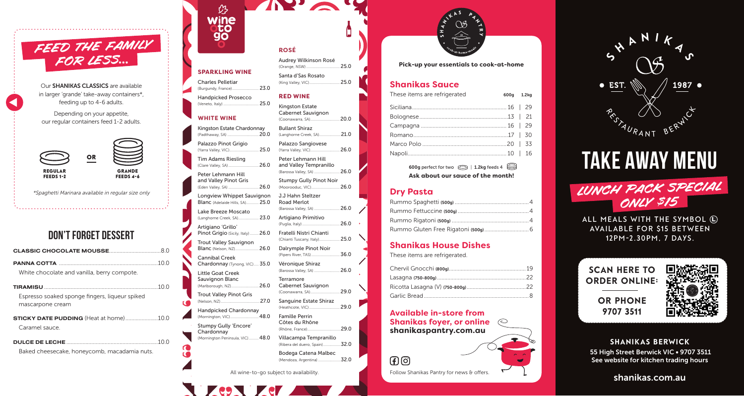

Our SHANIKAS CLASSICS are available in larger 'grande' take-away containers\*, feeding up to 4-6 adults.

Depending on your appetite, our regular containers feed 1-2 adults.



\*Spaghetti Marinara available in regular size only

# don't forget dessert

| White chocolate and vanilla, berry compote.                        |  |
|--------------------------------------------------------------------|--|
| 10 Q                                                               |  |
| Espresso soaked sponge fingers, ligueur spiked<br>mascarpone cream |  |
| <b>STICKY DATE PUDDING</b> (Heat at home)10.0                      |  |
| Caramel sauce                                                      |  |
|                                                                    |  |
| Baked cheesecake, honeycomb, macadamia nuts.                       |  |

| $\mathcal{C}$      |  |
|--------------------|--|
| wine<br><b>oto</b> |  |
| 90                 |  |
|                    |  |

### **SPARKLING WINE**

**ROSÉ**

Audrey Wilkinson Rosé (Orange, NSW) .................................. 25.0

 $\mathbf{v}$ 

(King Valley, VIC)............................... 25.0

(Langhorne Creek, SA)......................21.0

(Barossa Valley, SA) ..........................26.0

(Puglia, Italy) ......................................26.0

(Chianti Tuscany, Italy)..................... 25.0

(Pipers River, TAS).............................36.0

(Barossa Valley, SA) ..........................26.0

(Rhône, France) ..................................29.0 Villacampa Tempranillo

Santa d'Sas Rosato

**RED WINE** Kingston Estate Cabernet Sauvignon (Coonawarra, SA)..............................20.0

Bullant Shiraz

(Moorooduc, VIC)... J.J Hahn Steltzer Road Merlot

Artigiano Primitivo

Fratelli Nistri Chianti

Dalrymple Pinot Noir

Cabernet Sauvignon (Coonawarra, SA).............................. 29.0

Sanguine Estate Shiraz (Heathcote, VIC)............................... 29.0

Véronique Shiraz

Terramore

Famille Perrin Côtes du Rhône

Palazzo Sangiovese (Yarra Valley, VIC)..............................26.0

Peter Lehmann Hill and Valley Tempranillo (Barossa Valley, SA) ..........................26.0 Stumpy Gully Pinot Noir

Charles Pelletiar (Burgundy, France)........................... 23.0

Handpicked Prosecco (Veneto, Italy) .................................... 25.0

### **WHITE WINE**

Kingston Estate Chardonnay (Padthaway, SA)... Palazzo Pinot Grigio

(Yarra Valley, VIC).............................. 25.0 Tim Adams Riesling (Clare Valley, SA)...............................26.0

(Eden Valley, SA) ...............................26.0

Peter Lehmann Hill and Valley Pinot Gris

Longview Whippet Sauvignon

Blanc (Adelaide Hills, SA)............. 25.0 Lake Breeze Moscato

(Langhorne Creek, SA)..................... 23.0 Artigiano 'Grillo'

Pinot Grigio (Sicily, Italy) ......... 26.0

Trout Valley Sauvignon Blanc (Nelson, NZ)........................26.0

Cannibal Creek Chardonnay (Tynong, VIC)..... 35.0

Little Goat Creek Sauvignon Blanc

(Marlborough, NZ)............................26.0

Trout Valley Pinot Gris (Nelson, NZ)........................................27.0

Handpicked Chardonnay (Mornington, VIC).............................48.0

Stumpy Gully 'Encore'

Chardonnay (Mornington Peninsula, VIC).......... 48.0

(Ribera del duero, Spain) ..................32.0 Bodega Catena Malbec

(Mendoza, Argentina) .......................32.0

All wine-to-go subject to availability.



**Pick-up your essentials to cook-at-home**

### **Shanikas Sauce**

| These items are refrigerated | 600g 1.2kg |  |
|------------------------------|------------|--|
|                              |            |  |
|                              |            |  |
|                              |            |  |
|                              |            |  |
|                              |            |  |
|                              |            |  |
|                              |            |  |

600g perfect for two  $\oslash$  | 1.2kg feeds 4 **Ask about our sauce of the month!**

### **Dry Pasta**

### **Shanikas House Dishes**

These items are refrigerated.

**Available in-store from Shanikas foyer, or online shanikaspantry.com.au**

 $F(G)$ 

Follow Shanikas Pantry for news & offers. Shanikas.com.au



# take away MENU LUNCH PACK SPECIAL ONLY \$15

ALL MEALS WITH THE SYMBOL  $\textcircled{\textsc{1}}$ **AVAILABLE FOR \$15 BETWEEN 12PM-2.30pm, 7 DAYS.**





SHANIKAS BERWICK 55 High Street Berwick VIC • 9707 3511 See website for kitchen trading hours